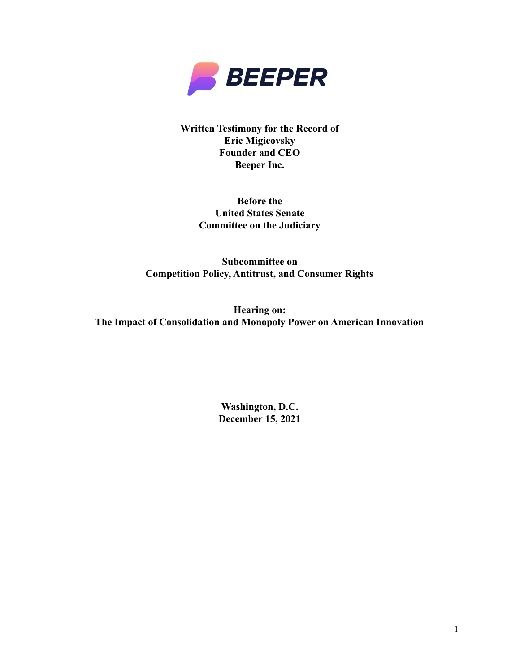

**Written Testimony for the Record of Eric Migicovsky Founder and CEO Beeper Inc.** 

> **Before the United States Senate Committee on the Judiciary**

**Subcommittee on Competition Policy, Antitrust, and Consumer Rights** 

**Hearing on: The Impact of Consolidation and Monopoly Power on American Innovation** 

> **Washington, D.C. December 15, 2021**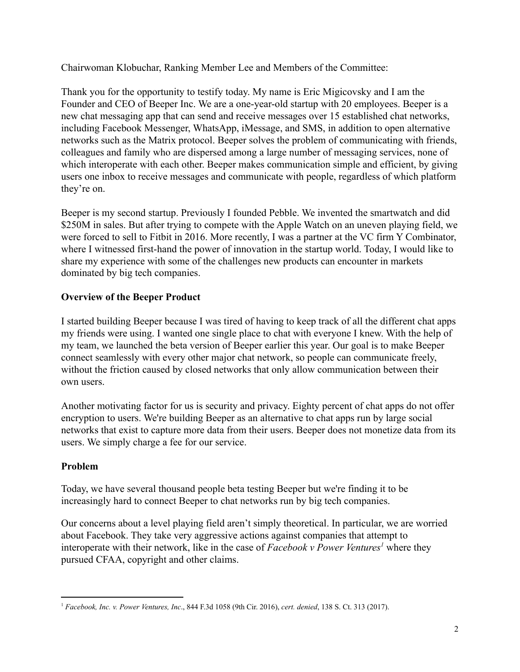Chairwoman Klobuchar, Ranking Member Lee and Members of the Committee:

Thank you for the opportunity to testify today. My name is Eric Migicovsky and I am the Founder and CEO of Beeper Inc. We are a one-year-old startup with 20 employees. Beeper is a new chat messaging app that can send and receive messages over 15 established chat networks, including Facebook Messenger, WhatsApp, iMessage, and SMS, in addition to open alternative networks such as the Matrix protocol. Beeper solves the problem of communicating with friends, colleagues and family who are dispersed among a large number of messaging services, none of which interoperate with each other. Beeper makes communication simple and efficient, by giving users one inbox to receive messages and communicate with people, regardless of which platform they're on.

Beeper is my second startup. Previously I founded Pebble. We invented the smartwatch and did \$250M in sales. But after trying to compete with the Apple Watch on an uneven playing field, we were forced to sell to Fitbit in 2016. More recently, I was a partner at the VC firm Y Combinator, where I witnessed first-hand the power of innovation in the startup world. Today, I would like to share my experience with some of the challenges new products can encounter in markets dominated by big tech companies.

# **Overview of the Beeper Product**

I started building Beeper because I was tired of having to keep track of all the different chat apps my friends were using. I wanted one single place to chat with everyone I knew. With the help of my team, we launched the beta version of Beeper earlier this year. Our goal is to make Beeper connect seamlessly with every other major chat network, so people can communicate freely, without the friction caused by closed networks that only allow communication between their own users

Another motivating factor for us is security and privacy. Eighty percent of chat apps do not offer encryption to users. We're building Beeper as an alternative to chat apps run by large social networks that exist to capture more data from their users. Beeper does not monetize data from its users. We simply charge a fee for our service.

## Problem

Today, we have several thousand people beta testing Beeper but we're finding it to be increasingly hard to connect Beeper to chat networks run by big tech companies.

Our concerns about a level playing field aren't simply theoretical. In particular, we are worried about Facebook. They take very aggressive actions against companies that attempt to interoperate with their network, like in the case of Facebook v Power Ventures' where they pursued CFAA, copyright and other claims.

<sup>&</sup>lt;sup>1</sup> Facebook, Inc. v. Power Ventures, Inc., 844 F.3d 1058 (9th Cir. 2016), cert. denied, 138 S. Ct. 313 (2017).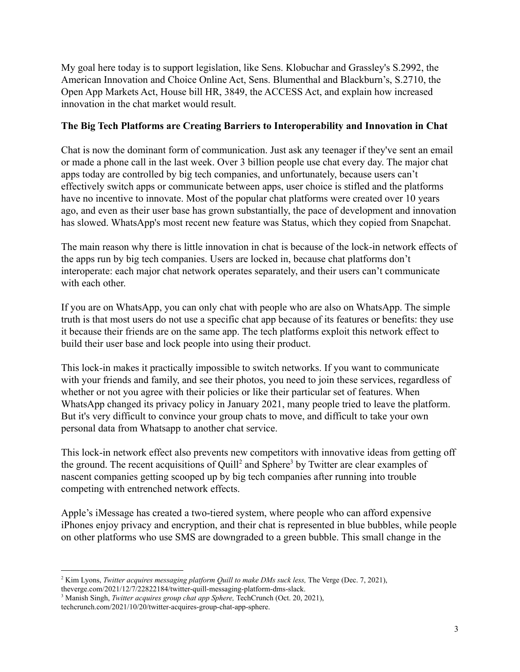My goal here today is to support legislation, like Sens. Klobuchar and Grassley's S.2992, the American Innovation and Choice Online Act, Sens. Blumenthal and Blackburn's, S.2710, the Open App Markets Act, House bill HR, 3849, the ACCESS Act, and explain how increased innovation in the chat market would result.

### The Big Tech Platforms are Creating Barriers to Interoperability and Innovation in Chat

Chat is now the dominant form of communication. Just ask any teenager if they've sent an email or made a phone call in the last week. Over 3 billion people use chat every day. The major chat apps today are controlled by big tech companies, and unfortunately, because users can't effectively switch apps or communicate between apps, user choice is stifled and the platforms have no incentive to innovate. Most of the popular chat platforms were created over 10 years ago, and even as their user base has grown substantially, the pace of development and innovation has slowed. WhatsApp's most recent new feature was Status, which they copied from Snapchat.

The main reason why there is little innovation in chat is because of the lock-in network effects of the apps run by big tech companies. Users are locked in, because chat platforms don't interoperate: each major chat network operates separately, and their users can't communicate with each other

If you are on WhatsApp, you can only chat with people who are also on WhatsApp. The simple truth is that most users do not use a specific chat app because of its features or benefits: they use it because their friends are on the same app. The tech platforms exploit this network effect to build their user base and lock people into using their product.

This lock-in makes it practically impossible to switch networks. If you want to communicate with your friends and family, and see their photos, you need to join these services, regardless of whether or not you agree with their policies or like their particular set of features. When WhatsApp changed its privacy policy in January 2021, many people tried to leave the platform. But it's very difficult to convince your group chats to move, and difficult to take your own personal data from Whatsapp to another chat service.

This lock-in network effect also prevents new competitors with innovative ideas from getting off the ground. The recent acquisitions of Quill<sup>2</sup> and Sphere<sup>3</sup> by Twitter are clear examples of nascent companies getting scooped up by big tech companies after running into trouble competing with entrenched network effects.

Apple's iMessage has created a two-tiered system, where people who can afford expensive iPhones enjoy privacy and encryption, and their chat is represented in blue bubbles, while people on other platforms who use SMS are downgraded to a green bubble. This small change in the

<sup>&</sup>lt;sup>2</sup> Kim Lyons, *Twitter acquires messaging platform Quill to make DMs suck less*, The Verge (Dec. 7, 2021), theverge.com/2021/12/7/22822184/twitter-quill-messaging-platform-dms-slack.

<sup>&</sup>lt;sup>3</sup> Manish Singh, Twitter acquires group chat app Sphere, TechCrunch (Oct. 20, 2021),

techcrunch.com/2021/10/20/twitter-acquires-group-chat-app-sphere.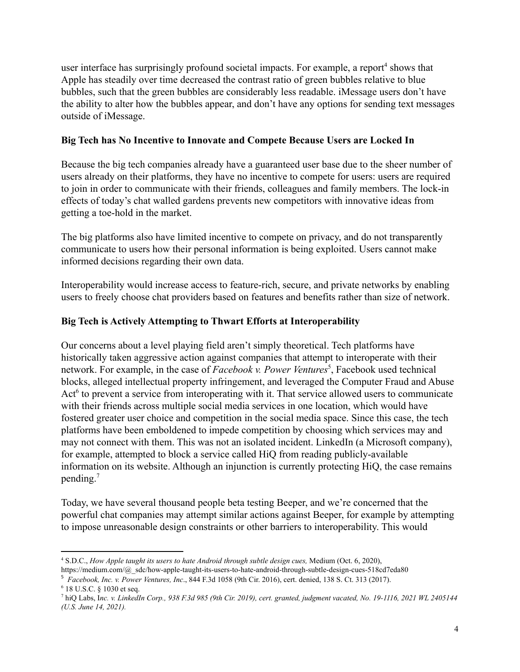user interface has surprisingly profound societal impacts. For example, a report<sup>4</sup> shows that Apple has steadily over time decreased the contrast ratio of green bubbles relative to blue bubbles, such that the green bubbles are considerably less readable. iMessage users don't have the ability to alter how the bubbles appear, and don't have any options for sending text messages outside of iMessage.

### Big Tech has No Incentive to Innovate and Compete Because Users are Locked In

Because the big tech companies already have a guaranteed user base due to the sheer number of users already on their platforms, they have no incentive to compete for users: users are required to join in order to communicate with their friends, colleagues and family members. The lock-in effects of today's chat walled gardens prevents new competitors with innovative ideas from getting a toe-hold in the market.

The big platforms also have limited incentive to compete on privacy, and do not transparently communicate to users how their personal information is being exploited. Users cannot make informed decisions regarding their own data.

Interoperability would increase access to feature-rich, secure, and private networks by enabling users to freely choose chat providers based on features and benefits rather than size of network.

## Big Tech is Actively Attempting to Thwart Efforts at Interoperability

Our concerns about a level playing field aren't simply theoretical. Tech platforms have historically taken aggressive action against companies that attempt to interoperate with their network. For example, in the case of Facebook v. Power Ventures<sup>5</sup>, Facebook used technical blocks, alleged intellectual property infringement, and leveraged the Computer Fraud and Abuse Act<sup>6</sup> to prevent a service from interoperating with it. That service allowed users to communicate with their friends across multiple social media services in one location, which would have fostered greater user choice and competition in the social media space. Since this case, the tech platforms have been emboldened to impede competition by choosing which services may and may not connect with them. This was not an isolated incident. LinkedIn (a Microsoft company), for example, attempted to block a service called HiO from reading publicly-available information on its website. Although an injunction is currently protecting HiQ, the case remains pending. $<sup>7</sup>$ </sup>

Today, we have several thousand people beta testing Beeper, and we're concerned that the powerful chat companies may attempt similar actions against Beeper, for example by attempting to impose unreasonable design constraints or other barriers to interoperability. This would

<sup>&</sup>lt;sup>4</sup> S.D.C., How Apple taught its users to hate Android through subtle design cues, Medium (Oct. 6, 2020),

https://medium.com/@\_sdc/how-apple-taught-its-users-to-hate-android-through-subtle-design-cues-518cd7eda80

<sup>&</sup>lt;sup>5</sup> Facebook, Inc. v. Power Ventures, Inc., 844 F.3d 1058 (9th Cir. 2016), cert. denied, 138 S. Ct. 313 (2017).

<sup>&</sup>lt;sup>6</sup> 18 U.S.C. § 1030 et seq.

<sup>&</sup>lt;sup>7</sup> hiQ Labs, Inc. v. LinkedIn Corp., 938 F.3d 985 (9th Cir. 2019), cert. granted, judgment vacated, No. 19-1116, 2021 WL 2405144 (U.S. June 14, 2021).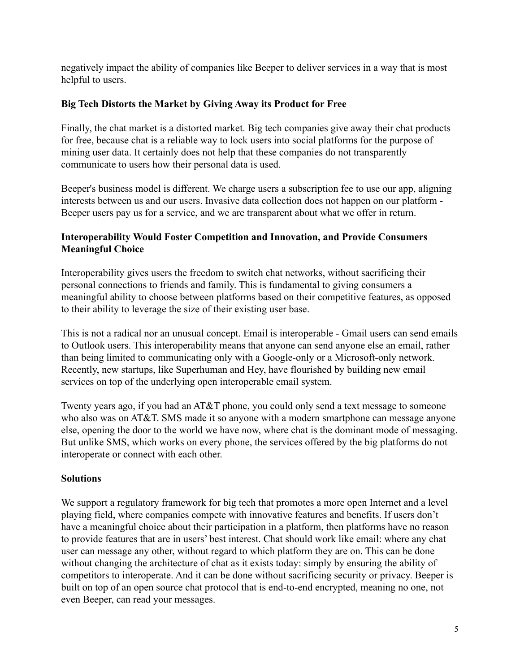negatively impact the ability of companies like Beeper to deliver services in a way that is most helpful to users.

### Big Tech Distorts the Market by Giving Away its Product for Free

Finally, the chat market is a distorted market. Big tech companies give away their chat products for free, because chat is a reliable way to lock users into social platforms for the purpose of mining user data. It certainly does not help that these companies do not transparently communicate to users how their personal data is used.

Beeper's business model is different. We charge users a subscription fee to use our app, aligning interests between us and our users. Invasive data collection does not happen on our platform -Beeper users pay us for a service, and we are transparent about what we offer in return.

## **Interoperability Would Foster Competition and Innovation, and Provide Consumers Meaningful Choice**

Interoperability gives users the freedom to switch chat networks, without sacrificing their personal connections to friends and family. This is fundamental to giving consumers a meaningful ability to choose between platforms based on their competitive features, as opposed to their ability to leverage the size of their existing user base.

This is not a radical nor an unusual concept. Email is interoperable - Gmail users can send emails to Outlook users. This interoperability means that anyone can send anyone else an email, rather than being limited to communicating only with a Google-only or a Microsoft-only network. Recently, new startups, like Superhuman and Hey, have flourished by building new email services on top of the underlying open interoperable email system.

Twenty years ago, if you had an AT&T phone, you could only send a text message to someone who also was on AT&T. SMS made it so anyone with a modern smartphone can message anyone else, opening the door to the world we have now, where chat is the dominant mode of messaging. But unlike SMS, which works on every phone, the services offered by the big platforms do not interoperate or connect with each other.

### **Solutions**

We support a regulatory framework for big tech that promotes a more open Internet and a level playing field, where companies compete with innovative features and benefits. If users don't have a meaningful choice about their participation in a platform, then platforms have no reason to provide features that are in users' best interest. Chat should work like email: where any chat user can message any other, without regard to which platform they are on. This can be done without changing the architecture of chat as it exists today: simply by ensuring the ability of competitors to interoperate. And it can be done without sacrificing security or privacy. Beeper is built on top of an open source chat protocol that is end-to-end encrypted, meaning no one, not even Beeper, can read your messages.